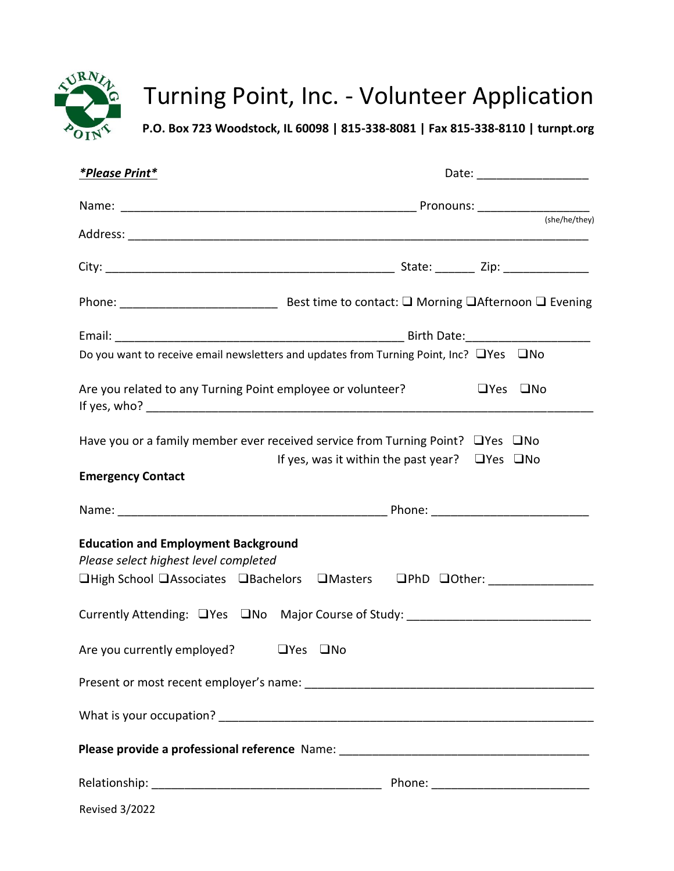

# Turning Point, Inc. - Volunteer Application

**P.O. Box 723 Woodstock, IL 60098 | 815-338-8081 | Fax 815-338-8110 | turnpt.org**

| <i><b>*Please Print*</b></i>                                                                                                                                             |                                                           | Date: ___________________  |  |
|--------------------------------------------------------------------------------------------------------------------------------------------------------------------------|-----------------------------------------------------------|----------------------------|--|
|                                                                                                                                                                          |                                                           |                            |  |
|                                                                                                                                                                          |                                                           | (she/he/they)              |  |
|                                                                                                                                                                          |                                                           |                            |  |
|                                                                                                                                                                          |                                                           |                            |  |
|                                                                                                                                                                          |                                                           |                            |  |
| Do you want to receive email newsletters and updates from Turning Point, Inc? □ Yes □ No                                                                                 |                                                           |                            |  |
| Are you related to any Turning Point employee or volunteer?                                                                                                              |                                                           | $\Box$ Yes<br>$\square$ No |  |
| Have you or a family member ever received service from Turning Point? $\Box$ Yes $\Box$ No                                                                               | If yes, was it within the past year? $\Box$ Yes $\Box$ No |                            |  |
| <b>Emergency Contact</b>                                                                                                                                                 |                                                           |                            |  |
|                                                                                                                                                                          |                                                           |                            |  |
| <b>Education and Employment Background</b><br>Please select highest level completed<br>□High School □Associates □Bachelors □Masters □PhD □Other: 11111111111111111111111 |                                                           |                            |  |
| Currently Attending: □Yes □No Major Course of Study: ___________________________                                                                                         |                                                           |                            |  |
| Are you currently employed?                                                                                                                                              | □Yes □No                                                  |                            |  |
|                                                                                                                                                                          |                                                           |                            |  |
|                                                                                                                                                                          |                                                           |                            |  |
|                                                                                                                                                                          |                                                           |                            |  |
|                                                                                                                                                                          |                                                           |                            |  |
| <b>Revised 3/2022</b>                                                                                                                                                    |                                                           |                            |  |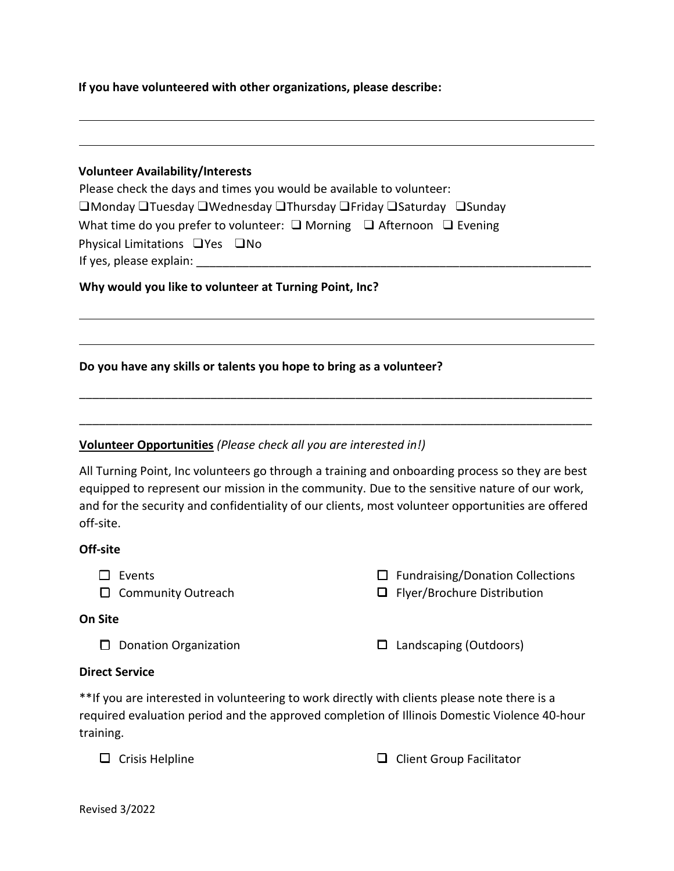**If you have volunteered with other organizations, please describe:**

| Please check the days and times you would be available to volunteer:                 |
|--------------------------------------------------------------------------------------|
| □Monday □Tuesday □Wednesday □Thursday □Friday □Saturday □Sunday                      |
| What time do you prefer to volunteer: $\Box$ Morning $\Box$ Afternoon $\Box$ Evening |
| Physical Limitations $\Box$ Yes $\Box$ No                                            |
| If yes, please explain:                                                              |

**Why would you like to volunteer at Turning Point, Inc?**

## **Do you have any skills or talents you hope to bring as a volunteer?**

## **Volunteer Opportunities** *(Please check all you are interested in!)*

All Turning Point, Inc volunteers go through a training and onboarding process so they are best equipped to represent our mission in the community. Due to the sensitive nature of our work, and for the security and confidentiality of our clients, most volunteer opportunities are offered off-site.

\_\_\_\_\_\_\_\_\_\_\_\_\_\_\_\_\_\_\_\_\_\_\_\_\_\_\_\_\_\_\_\_\_\_\_\_\_\_\_\_\_\_\_\_\_\_\_\_\_\_\_\_\_\_\_\_\_\_\_\_\_\_\_\_\_\_\_\_\_\_\_\_\_\_\_\_\_\_

\_\_\_\_\_\_\_\_\_\_\_\_\_\_\_\_\_\_\_\_\_\_\_\_\_\_\_\_\_\_\_\_\_\_\_\_\_\_\_\_\_\_\_\_\_\_\_\_\_\_\_\_\_\_\_\_\_\_\_\_\_\_\_\_\_\_\_\_\_\_\_\_\_\_\_\_\_\_

#### **Off-site**

- ❑ Events
- ❑ Community Outreach

## **On Site**

❑ Flyer/Brochure Distribution

❑ Fundraising/Donation Collections

❑ Donation Organization ❑ Landscaping (Outdoors)

## **Direct Service**

\*\*If you are interested in volunteering to work directly with clients please note there is a required evaluation period and the approved completion of Illinois Domestic Violence 40-hour training.

❑ Crisis Helpline ❑ Client Group Facilitator